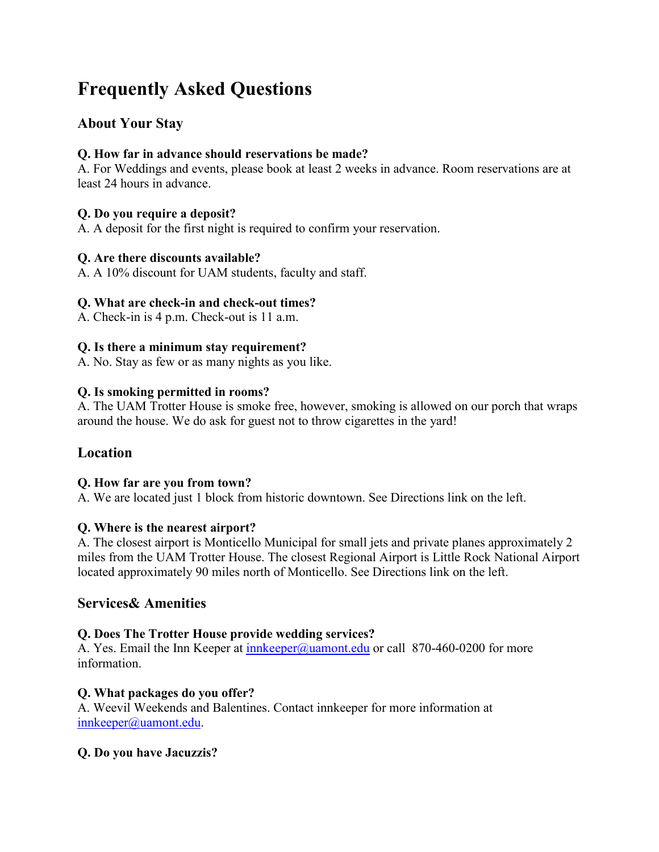# **Frequently Asked Questions**

# **About Your Stay**

### **Q. How far in advance should reservations be made?**

A. For Weddings and events, please book at least 2 weeks in advance. Room reservations are at least 24 hours in advance.

## **Q. Do you require a deposit?**

A. A deposit for the first night is required to confirm your reservation.

#### **Q. Are there discounts available?**

A. A 10% discount for UAM students, faculty and staff.

## **Q. What are check-in and check-out times?**

A. Check-in is 4 p.m. Check-out is 11 a.m.

#### **Q. Is there a minimum stay requirement?**

A. No. Stay as few or as many nights as you like.

#### **Q. Is smoking permitted in rooms?**

A. The UAM Trotter House is smoke free, however, smoking is allowed on our porch that wraps around the house. We do ask for guest not to throw cigarettes in the yard!

# **Location**

#### **Q. How far are you from town?**

A. We are located just 1 block from historic downtown. See Directions link on the left.

#### **Q. Where is the nearest airport?**

A. The closest airport is Monticello Municipal for small jets and private planes approximately 2 miles from the UAM Trotter House. The closest Regional Airport is Little Rock National Airport located approximately 90 miles north of Monticello. See Directions link on the left.

# **Services& Amenities**

# **Q. Does The Trotter House provide wedding services?**

A. Yes. Email the Inn Keeper at *innkeeper@uamont.edu or call 870-460-0200* for more information.

#### **Q. What packages do you offer?**

A. Weevil Weekends and Balentines. Contact innkeeper for more information at [innkeeper@uamont.edu.](mailto:innkeeper@uamont.edu)

#### **Q. Do you have Jacuzzis?**